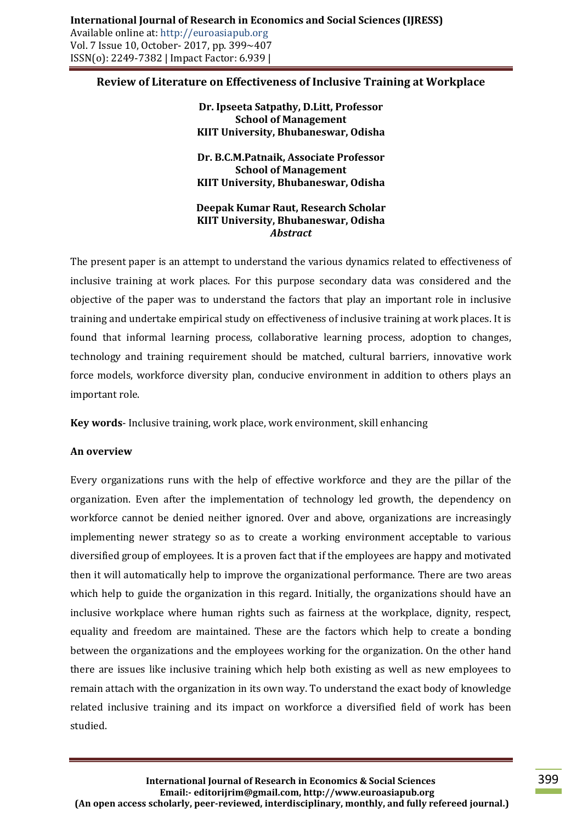**International Journal of Research in Economics and Social Sciences (IJRESS)** Available online at: http://euroasiapub.org Vol. 7 Issue 10, October- 2017, pp. 399~407 ISSN(o): 2249-7382 | Impact Factor: 6.939 |

#### **Review of Literature on Effectiveness of Inclusive Training at Workplace**

**Dr. Ipseeta Satpathy, D.Litt, Professor School of Management KIIT University, Bhubaneswar, Odisha**

**Dr. B.C.M.Patnaik, Associate Professor School of Management KIIT University, Bhubaneswar, Odisha**

**Deepak Kumar Raut, Research Scholar KIIT University, Bhubaneswar, Odisha** *Abstract*

The present paper is an attempt to understand the various dynamics related to effectiveness of inclusive training at work places. For this purpose secondary data was considered and the objective of the paper was to understand the factors that play an important role in inclusive training and undertake empirical study on effectiveness of inclusive training at work places. It is found that informal learning process, collaborative learning process, adoption to changes, technology and training requirement should be matched, cultural barriers, innovative work force models, workforce diversity plan, conducive environment in addition to others plays an important role.

**Key words**- Inclusive training, work place, work environment, skill enhancing

#### **An overview**

Every organizations runs with the help of effective workforce and they are the pillar of the organization. Even after the implementation of technology led growth, the dependency on workforce cannot be denied neither ignored. Over and above, organizations are increasingly implementing newer strategy so as to create a working environment acceptable to various diversified group of employees. It is a proven fact that if the employees are happy and motivated then it will automatically help to improve the organizational performance. There are two areas which help to guide the organization in this regard. Initially, the organizations should have an inclusive workplace where human rights such as fairness at the workplace, dignity, respect, equality and freedom are maintained. These are the factors which help to create a bonding between the organizations and the employees working for the organization. On the other hand there are issues like inclusive training which help both existing as well as new employees to remain attach with the organization in its own way. To understand the exact body of knowledge related inclusive training and its impact on workforce a diversified field of work has been studied.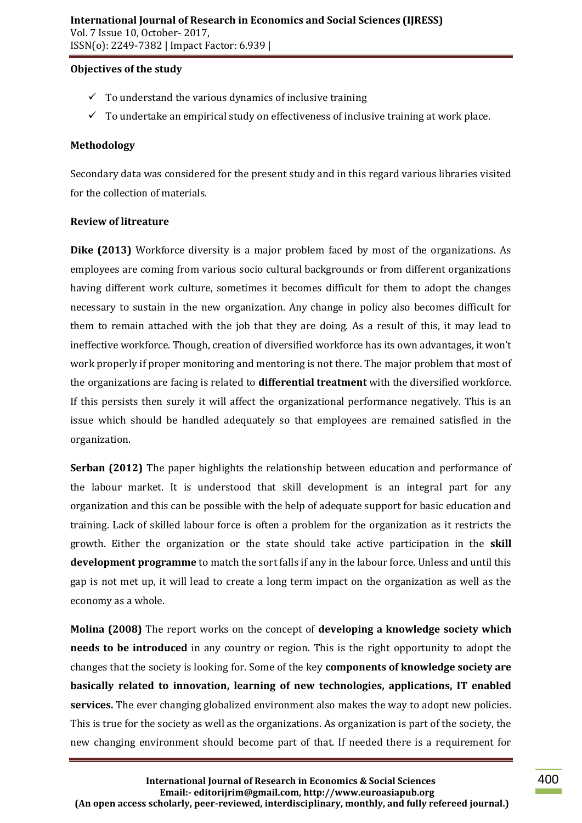## **Objectives of the study**

- $\checkmark$  To understand the various dynamics of inclusive training
- $\checkmark$  To undertake an empirical study on effectiveness of inclusive training at work place.

# **Methodology**

Secondary data was considered for the present study and in this regard various libraries visited for the collection of materials.

## **Review of litreature**

**Dike (2013)** Workforce diversity is a major problem faced by most of the organizations. As employees are coming from various socio cultural backgrounds or from different organizations having different work culture, sometimes it becomes difficult for them to adopt the changes necessary to sustain in the new organization. Any change in policy also becomes difficult for them to remain attached with the job that they are doing. As a result of this, it may lead to ineffective workforce. Though, creation of diversified workforce has its own advantages, it won't work properly if proper monitoring and mentoring is not there. The major problem that most of the organizations are facing is related to **differential treatment** with the diversified workforce. If this persists then surely it will affect the organizational performance negatively. This is an issue which should be handled adequately so that employees are remained satisfied in the organization.

**Serban (2012)** The paper highlights the relationship between education and performance of the labour market. It is understood that skill development is an integral part for any organization and this can be possible with the help of adequate support for basic education and training. Lack of skilled labour force is often a problem for the organization as it restricts the growth. Either the organization or the state should take active participation in the **skill development programme** to match the sort falls if any in the labour force. Unless and until this gap is not met up, it will lead to create a long term impact on the organization as well as the economy as a whole.

**Molina (2008)** The report works on the concept of **developing a knowledge society which needs to be introduced** in any country or region. This is the right opportunity to adopt the changes that the society is looking for. Some of the key **components of knowledge society are basically related to innovation, learning of new technologies, applications, IT enabled services.** The ever changing globalized environment also makes the way to adopt new policies. This is true for the society as well as the organizations. As organization is part of the society, the new changing environment should become part of that. If needed there is a requirement for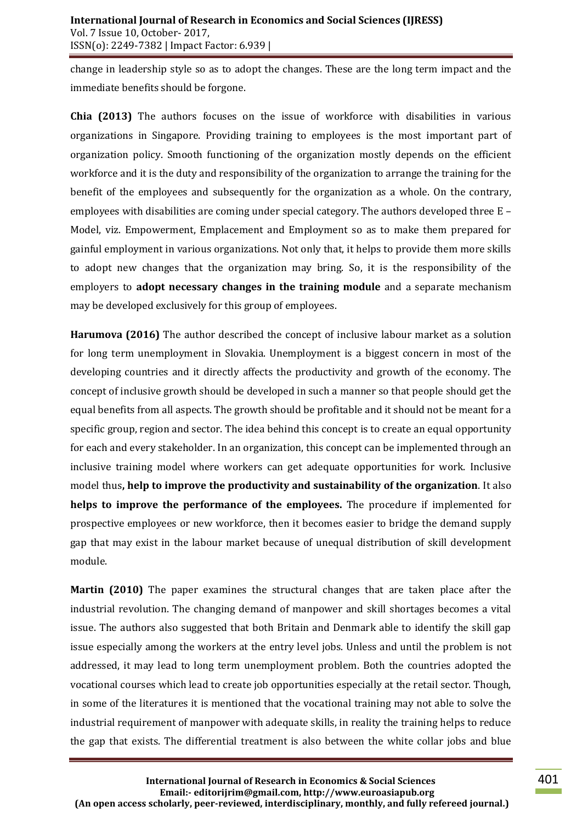change in leadership style so as to adopt the changes. These are the long term impact and the immediate benefits should be forgone.

**Chia (2013)** The authors focuses on the issue of workforce with disabilities in various organizations in Singapore. Providing training to employees is the most important part of organization policy. Smooth functioning of the organization mostly depends on the efficient workforce and it is the duty and responsibility of the organization to arrange the training for the benefit of the employees and subsequently for the organization as a whole. On the contrary, employees with disabilities are coming under special category. The authors developed three E – Model, viz. Empowerment, Emplacement and Employment so as to make them prepared for gainful employment in various organizations. Not only that, it helps to provide them more skills to adopt new changes that the organization may bring. So, it is the responsibility of the employers to **adopt necessary changes in the training module** and a separate mechanism may be developed exclusively for this group of employees.

**Harumova (2016)** The author described the concept of inclusive labour market as a solution for long term unemployment in Slovakia. Unemployment is a biggest concern in most of the developing countries and it directly affects the productivity and growth of the economy. The concept of inclusive growth should be developed in such a manner so that people should get the equal benefits from all aspects. The growth should be profitable and it should not be meant for a specific group, region and sector. The idea behind this concept is to create an equal opportunity for each and every stakeholder. In an organization, this concept can be implemented through an inclusive training model where workers can get adequate opportunities for work. Inclusive model thus**, help to improve the productivity and sustainability of the organization**. It also **helps to improve the performance of the employees.** The procedure if implemented for prospective employees or new workforce, then it becomes easier to bridge the demand supply gap that may exist in the labour market because of unequal distribution of skill development module.

**Martin (2010)** The paper examines the structural changes that are taken place after the industrial revolution. The changing demand of manpower and skill shortages becomes a vital issue. The authors also suggested that both Britain and Denmark able to identify the skill gap issue especially among the workers at the entry level jobs. Unless and until the problem is not addressed, it may lead to long term unemployment problem. Both the countries adopted the vocational courses which lead to create job opportunities especially at the retail sector. Though, in some of the literatures it is mentioned that the vocational training may not able to solve the industrial requirement of manpower with adequate skills, in reality the training helps to reduce the gap that exists. The differential treatment is also between the white collar jobs and blue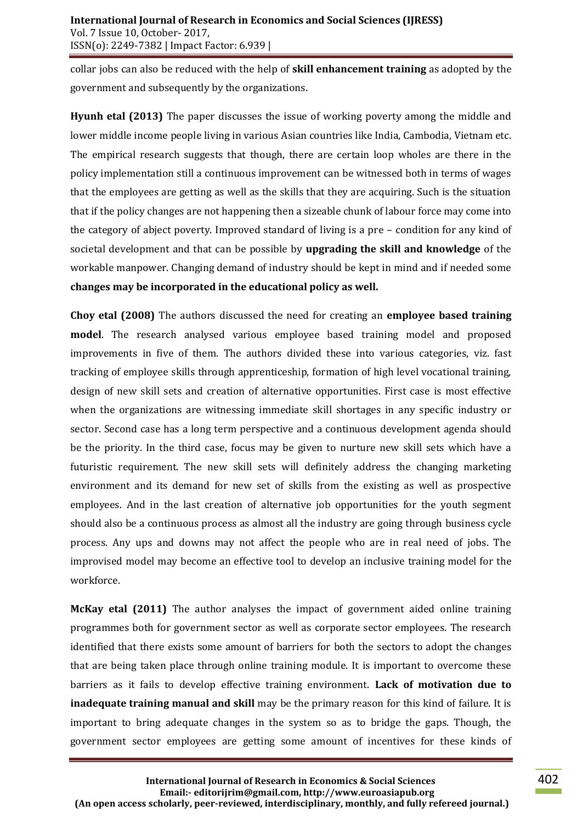collar jobs can also be reduced with the help of **skill enhancement training** as adopted by the government and subsequently by the organizations.

**Hyunh etal (2013)** The paper discusses the issue of working poverty among the middle and lower middle income people living in various Asian countries like India, Cambodia, Vietnam etc. The empirical research suggests that though, there are certain loop wholes are there in the policy implementation still a continuous improvement can be witnessed both in terms of wages that the employees are getting as well as the skills that they are acquiring. Such is the situation that if the policy changes are not happening then a sizeable chunk of labour force may come into the category of abject poverty. Improved standard of living is a pre – condition for any kind of societal development and that can be possible by **upgrading the skill and knowledge** of the workable manpower. Changing demand of industry should be kept in mind and if needed some **changes may be incorporated in the educational policy as well.**

**Choy etal (2008)** The authors discussed the need for creating an **employee based training model**. The research analysed various employee based training model and proposed improvements in five of them. The authors divided these into various categories, viz. fast tracking of employee skills through apprenticeship, formation of high level vocational training, design of new skill sets and creation of alternative opportunities. First case is most effective when the organizations are witnessing immediate skill shortages in any specific industry or sector. Second case has a long term perspective and a continuous development agenda should be the priority. In the third case, focus may be given to nurture new skill sets which have a futuristic requirement. The new skill sets will definitely address the changing marketing environment and its demand for new set of skills from the existing as well as prospective employees. And in the last creation of alternative job opportunities for the youth segment should also be a continuous process as almost all the industry are going through business cycle process. Any ups and downs may not affect the people who are in real need of jobs. The improvised model may become an effective tool to develop an inclusive training model for the workforce.

**McKay etal (2011)** The author analyses the impact of government aided online training programmes both for government sector as well as corporate sector employees. The research identified that there exists some amount of barriers for both the sectors to adopt the changes that are being taken place through online training module. It is important to overcome these barriers as it fails to develop effective training environment. **Lack of motivation due to inadequate training manual and skill** may be the primary reason for this kind of failure. It is important to bring adequate changes in the system so as to bridge the gaps. Though, the government sector employees are getting some amount of incentives for these kinds of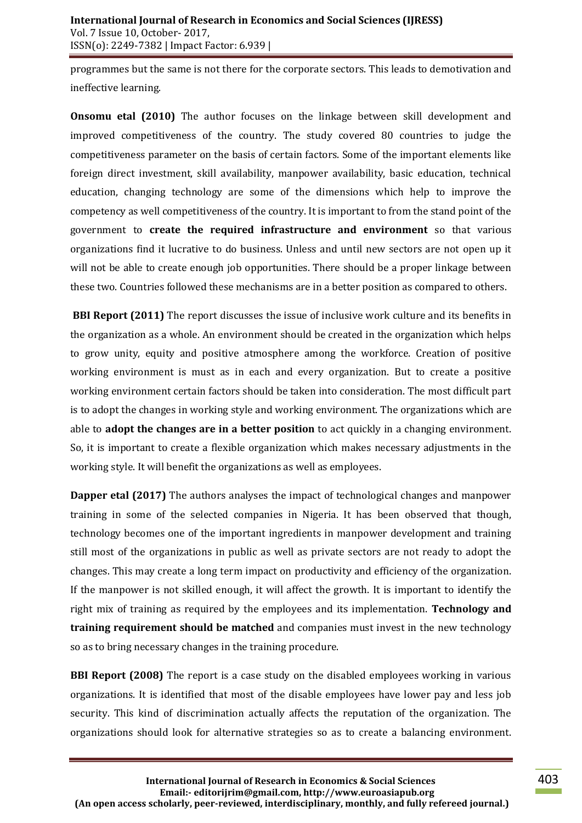programmes but the same is not there for the corporate sectors. This leads to demotivation and ineffective learning.

**Onsomu etal (2010)** The author focuses on the linkage between skill development and improved competitiveness of the country. The study covered 80 countries to judge the competitiveness parameter on the basis of certain factors. Some of the important elements like foreign direct investment, skill availability, manpower availability, basic education, technical education, changing technology are some of the dimensions which help to improve the competency as well competitiveness of the country. It is important to from the stand point of the government to **create the required infrastructure and environment** so that various organizations find it lucrative to do business. Unless and until new sectors are not open up it will not be able to create enough job opportunities. There should be a proper linkage between these two. Countries followed these mechanisms are in a better position as compared to others.

**BBI Report (2011)** The report discusses the issue of inclusive work culture and its benefits in the organization as a whole. An environment should be created in the organization which helps to grow unity, equity and positive atmosphere among the workforce. Creation of positive working environment is must as in each and every organization. But to create a positive working environment certain factors should be taken into consideration. The most difficult part is to adopt the changes in working style and working environment. The organizations which are able to **adopt the changes are in a better position** to act quickly in a changing environment. So, it is important to create a flexible organization which makes necessary adjustments in the working style. It will benefit the organizations as well as employees.

**Dapper etal (2017)** The authors analyses the impact of technological changes and manpower training in some of the selected companies in Nigeria. It has been observed that though, technology becomes one of the important ingredients in manpower development and training still most of the organizations in public as well as private sectors are not ready to adopt the changes. This may create a long term impact on productivity and efficiency of the organization. If the manpower is not skilled enough, it will affect the growth. It is important to identify the right mix of training as required by the employees and its implementation. **Technology and training requirement should be matched** and companies must invest in the new technology so as to bring necessary changes in the training procedure.

**BBI Report (2008)** The report is a case study on the disabled employees working in various organizations. It is identified that most of the disable employees have lower pay and less job security. This kind of discrimination actually affects the reputation of the organization. The organizations should look for alternative strategies so as to create a balancing environment.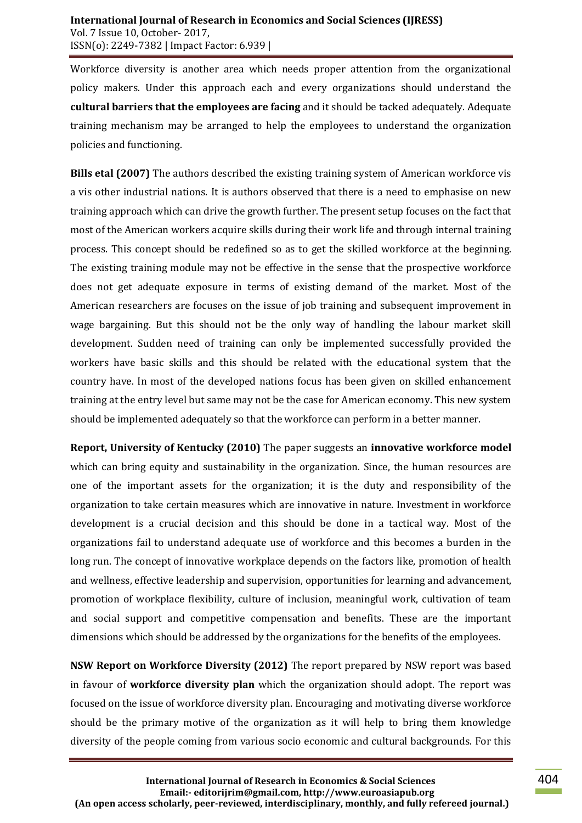Workforce diversity is another area which needs proper attention from the organizational policy makers. Under this approach each and every organizations should understand the **cultural barriers that the employees are facing** and it should be tacked adequately. Adequate training mechanism may be arranged to help the employees to understand the organization policies and functioning.

**Bills etal (2007)** The authors described the existing training system of American workforce vis a vis other industrial nations. It is authors observed that there is a need to emphasise on new training approach which can drive the growth further. The present setup focuses on the fact that most of the American workers acquire skills during their work life and through internal training process. This concept should be redefined so as to get the skilled workforce at the beginning. The existing training module may not be effective in the sense that the prospective workforce does not get adequate exposure in terms of existing demand of the market. Most of the American researchers are focuses on the issue of job training and subsequent improvement in wage bargaining. But this should not be the only way of handling the labour market skill development. Sudden need of training can only be implemented successfully provided the workers have basic skills and this should be related with the educational system that the country have. In most of the developed nations focus has been given on skilled enhancement training at the entry level but same may not be the case for American economy. This new system should be implemented adequately so that the workforce can perform in a better manner.

**Report, University of Kentucky (2010)** The paper suggests an **innovative workforce model** which can bring equity and sustainability in the organization. Since, the human resources are one of the important assets for the organization; it is the duty and responsibility of the organization to take certain measures which are innovative in nature. Investment in workforce development is a crucial decision and this should be done in a tactical way. Most of the organizations fail to understand adequate use of workforce and this becomes a burden in the long run. The concept of innovative workplace depends on the factors like, promotion of health and wellness, effective leadership and supervision, opportunities for learning and advancement, promotion of workplace flexibility, culture of inclusion, meaningful work, cultivation of team and social support and competitive compensation and benefits. These are the important dimensions which should be addressed by the organizations for the benefits of the employees.

**NSW Report on Workforce Diversity (2012)** The report prepared by NSW report was based in favour of **workforce diversity plan** which the organization should adopt. The report was focused on the issue of workforce diversity plan. Encouraging and motivating diverse workforce should be the primary motive of the organization as it will help to bring them knowledge diversity of the people coming from various socio economic and cultural backgrounds. For this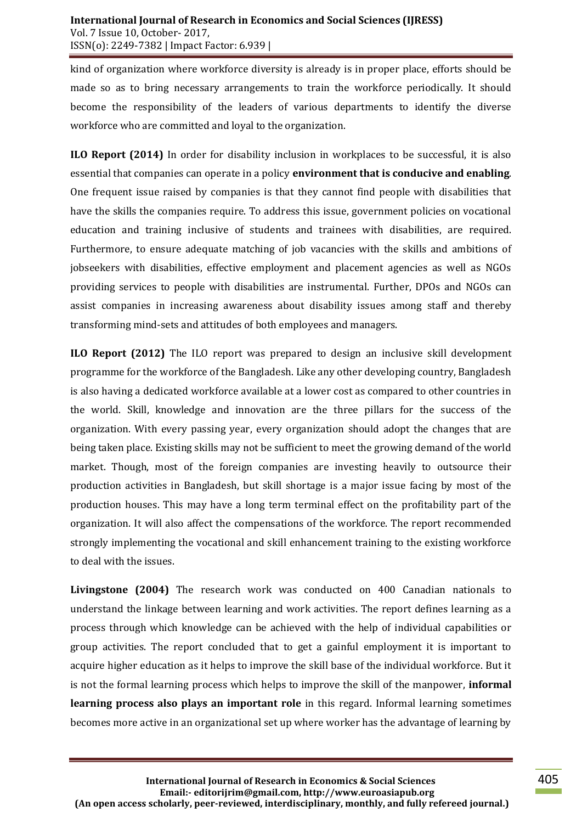kind of organization where workforce diversity is already is in proper place, efforts should be made so as to bring necessary arrangements to train the workforce periodically. It should become the responsibility of the leaders of various departments to identify the diverse workforce who are committed and loyal to the organization.

**ILO Report (2014)** In order for disability inclusion in workplaces to be successful, it is also essential that companies can operate in a policy **environment that is conducive and enabling**. One frequent issue raised by companies is that they cannot find people with disabilities that have the skills the companies require. To address this issue, government policies on vocational education and training inclusive of students and trainees with disabilities, are required. Furthermore, to ensure adequate matching of job vacancies with the skills and ambitions of jobseekers with disabilities, effective employment and placement agencies as well as NGOs providing services to people with disabilities are instrumental. Further, DPOs and NGOs can assist companies in increasing awareness about disability issues among staff and thereby transforming mind-sets and attitudes of both employees and managers.

**ILO Report (2012)** The ILO report was prepared to design an inclusive skill development programme for the workforce of the Bangladesh. Like any other developing country, Bangladesh is also having a dedicated workforce available at a lower cost as compared to other countries in the world. Skill, knowledge and innovation are the three pillars for the success of the organization. With every passing year, every organization should adopt the changes that are being taken place. Existing skills may not be sufficient to meet the growing demand of the world market. Though, most of the foreign companies are investing heavily to outsource their production activities in Bangladesh, but skill shortage is a major issue facing by most of the production houses. This may have a long term terminal effect on the profitability part of the organization. It will also affect the compensations of the workforce. The report recommended strongly implementing the vocational and skill enhancement training to the existing workforce to deal with the issues.

**Livingstone (2004)** The research work was conducted on 400 Canadian nationals to understand the linkage between learning and work activities. The report defines learning as a process through which knowledge can be achieved with the help of individual capabilities or group activities. The report concluded that to get a gainful employment it is important to acquire higher education as it helps to improve the skill base of the individual workforce. But it is not the formal learning process which helps to improve the skill of the manpower, **informal learning process also plays an important role** in this regard. Informal learning sometimes becomes more active in an organizational set up where worker has the advantage of learning by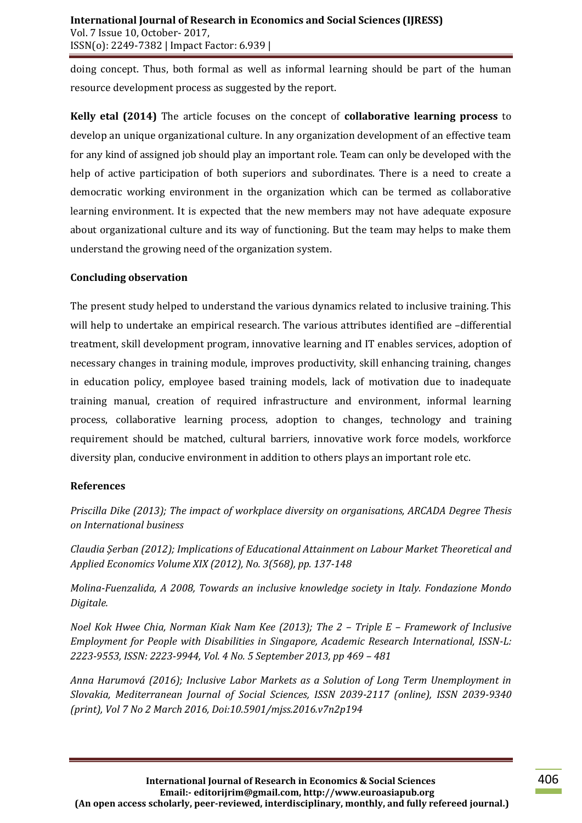doing concept. Thus, both formal as well as informal learning should be part of the human resource development process as suggested by the report.

**Kelly etal (2014)** The article focuses on the concept of **collaborative learning process** to develop an unique organizational culture. In any organization development of an effective team for any kind of assigned job should play an important role. Team can only be developed with the help of active participation of both superiors and subordinates. There is a need to create a democratic working environment in the organization which can be termed as collaborative learning environment. It is expected that the new members may not have adequate exposure about organizational culture and its way of functioning. But the team may helps to make them understand the growing need of the organization system.

## **Concluding observation**

The present study helped to understand the various dynamics related to inclusive training. This will help to undertake an empirical research. The various attributes identified are –differential treatment, skill development program, innovative learning and IT enables services, adoption of necessary changes in training module, improves productivity, skill enhancing training, changes in education policy, employee based training models, lack of motivation due to inadequate training manual, creation of required infrastructure and environment, informal learning process, collaborative learning process, adoption to changes, technology and training requirement should be matched, cultural barriers, innovative work force models, workforce diversity plan, conducive environment in addition to others plays an important role etc.

## **References**

*Priscilla Dike (2013); The impact of workplace diversity on organisations, ARCADA Degree Thesis on International business*

*Claudia Şerban (2012); Implications of Educational Attainment on Labour Market Theoretical and Applied Economics Volume XIX (2012), No. 3(568), pp. 137-148*

*Molina-Fuenzalida, A 2008, Towards an inclusive knowledge society in Italy. Fondazione Mondo Digitale.*

*Noel Kok Hwee Chia, Norman Kiak Nam Kee (2013); The 2 – Triple E – Framework of Inclusive Employment for People with Disabilities in Singapore, Academic Research International, ISSN-L: 2223-9553, ISSN: 2223-9944, Vol. 4 No. 5 September 2013, pp 469 – 481*

*Anna Harumová (2016); Inclusive Labor Markets as a Solution of Long Term Unemployment in Slovakia, Mediterranean Journal of Social Sciences, ISSN 2039-2117 (online), ISSN 2039-9340 (print), Vol 7 No 2 March 2016, Doi:10.5901/mjss.2016.v7n2p194*